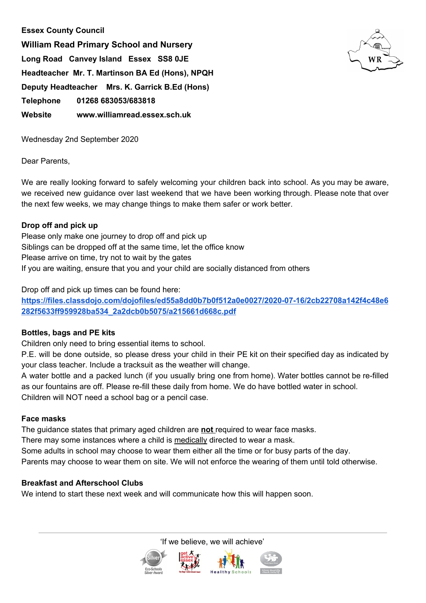# **Essex County Council**

**William Read Primary School and Nursery Long Road Canvey Island Essex SS8 0JE Headteacher Mr. T. Martinson BA Ed (Hons), NPQH Deputy Headteacher Mrs. K. Garrick B.Ed (Hons) Telephone 01268 683053/683818 Website www.williamread.essex.sch.uk**



Wednesday 2nd September 2020

Dear Parents,

We are really looking forward to safely welcoming your children back into school. As you may be aware, we received new guidance over last weekend that we have been working through. Please note that over the next few weeks, we may change things to make them safer or work better.

### **Drop off and pick up**

Please only make one journey to drop off and pick up Siblings can be dropped off at the same time, let the office know Please arrive on time, try not to wait by the gates If you are waiting, ensure that you and your child are socially distanced from others

Drop off and pick up times can be found here:

**[https://files.classdojo.com/dojofiles/ed55a8dd0b7b0f512a0e0027/2020-07-16/2cb22708a142f4c48e6](https://files.classdojo.com/dojofiles/ed55a8dd0b7b0f512a0e0027/2020-07-16/2cb22708a142f4c48e6282f5633ff959928ba534_2a2dcb0b5075/a215661d668c.pdf) [282f5633ff959928ba534\\_2a2dcb0b5075/a215661d668c.pdf](https://files.classdojo.com/dojofiles/ed55a8dd0b7b0f512a0e0027/2020-07-16/2cb22708a142f4c48e6282f5633ff959928ba534_2a2dcb0b5075/a215661d668c.pdf)**

## **Bottles, bags and PE kits**

Children only need to bring essential items to school.

P.E. will be done outside, so please dress your child in their PE kit on their specified day as indicated by your class teacher. Include a tracksuit as the weather will change.

A water bottle and a packed lunch (if you usually bring one from home). Water bottles cannot be re-filled as our fountains are off. Please re-fill these daily from home. We do have bottled water in school. Children will NOT need a school bag or a pencil case.

#### **Face masks**

The guidance states that primary aged children are **not** required to wear face masks.

There may some instances where a child is medically directed to wear a mask.

Some adults in school may choose to wear them either all the time or for busy parts of the day.

Parents may choose to wear them on site. We will not enforce the wearing of them until told otherwise.

## **Breakfast and Afterschool Clubs**

We intend to start these next week and will communicate how this will happen soon.

'If we believe, we will achieve'